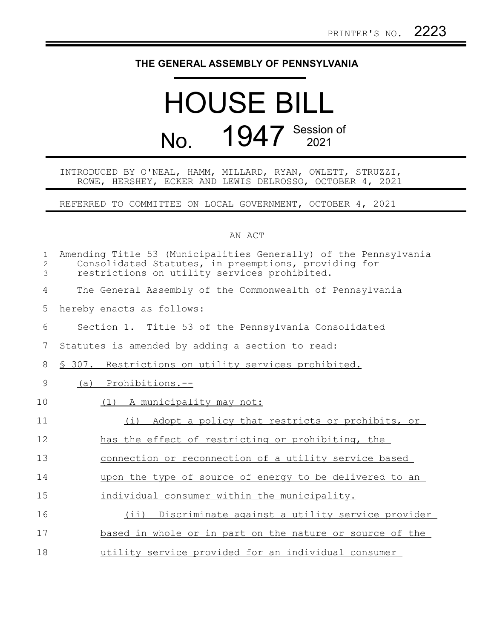## **THE GENERAL ASSEMBLY OF PENNSYLVANIA**

## HOUSE BILL No. 1947 Session of

## INTRODUCED BY O'NEAL, HAMM, MILLARD, RYAN, OWLETT, STRUZZI, ROWE, HERSHEY, ECKER AND LEWIS DELROSSO, OCTOBER 4, 2021

REFERRED TO COMMITTEE ON LOCAL GOVERNMENT, OCTOBER 4, 2021

## AN ACT

| $\mathbf{1}$<br>2<br>3 | Amending Title 53 (Municipalities Generally) of the Pennsylvania<br>Consolidated Statutes, in preemptions, providing for<br>restrictions on utility services prohibited. |
|------------------------|--------------------------------------------------------------------------------------------------------------------------------------------------------------------------|
| 4                      | The General Assembly of the Commonwealth of Pennsylvania                                                                                                                 |
| 5                      | hereby enacts as follows:                                                                                                                                                |
| 6                      | Section 1. Title 53 of the Pennsylvania Consolidated                                                                                                                     |
| 7                      | Statutes is amended by adding a section to read:                                                                                                                         |
| 8                      | \$ 307. Restrictions on utility services prohibited.                                                                                                                     |
| 9                      | (a) Prohibitions.--                                                                                                                                                      |
| 10                     | (1) A municipality may not:                                                                                                                                              |
| 11                     | (i) Adopt a policy that restricts or prohibits, or                                                                                                                       |
| 12                     | has the effect of restricting or prohibiting, the                                                                                                                        |
| 13                     | connection or reconnection of a utility service based                                                                                                                    |
| 14                     | upon the type of source of energy to be delivered to an                                                                                                                  |
| 15                     | individual consumer within the municipality.                                                                                                                             |
| 16                     | $(i$ ii)<br>Discriminate against a utility service provider                                                                                                              |
| 17                     | based in whole or in part on the nature or source of the                                                                                                                 |
| 18                     | utility service provided for an individual consumer                                                                                                                      |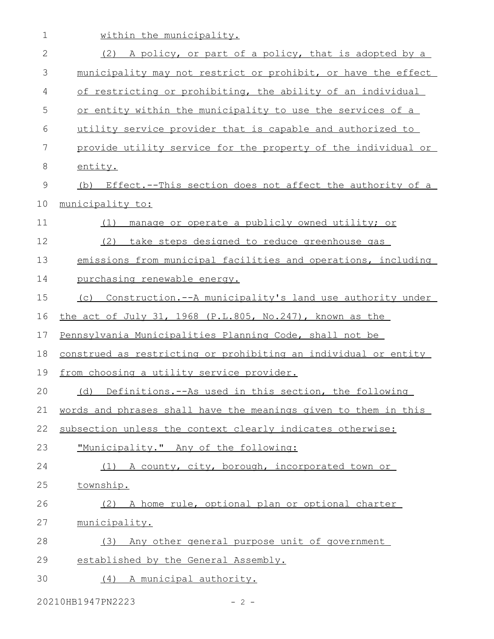| $\mathbf 1$  | within the municipality.                                        |
|--------------|-----------------------------------------------------------------|
| $\mathbf{2}$ | (2) A policy, or part of a policy, that is adopted by a         |
| 3            | municipality may not restrict or prohibit, or have the effect   |
| 4            | of restricting or prohibiting, the ability of an individual     |
| 5            | or entity within the municipality to use the services of a      |
| 6            | utility service provider that is capable and authorized to      |
| 7            | provide utility service for the property of the individual or   |
| 8            | entity.                                                         |
| 9            | (b) Effect.--This section does not affect the authority of a    |
| 10           | municipality to:                                                |
| 11           | manage or operate a publicly owned utility; or<br>(1)           |
| 12           | (2) take steps designed to reduce greenhouse gas                |
| 13           | emissions from municipal facilities and operations, including   |
| 14           | purchasing renewable energy.                                    |
| 15           | (c) Construction.--A municipality's land use authority under    |
| 16           | the act of July 31, 1968 (P.L.805, No.247), known as the        |
| 17           | Pennsylvania Municipalities Planning Code, shall not be         |
| 18           | construed as restricting or prohibiting an individual or entity |
| 19           | from choosing a utility service provider.                       |
| 20           | (d) Definitions.--As used in this section, the following        |
| 21           | words and phrases shall have the meanings given to them in this |
| 22           | subsection unless the context clearly indicates otherwise:      |
| 23           | "Municipality." Any of the following:                           |
| 24           | (1) A county, city, borough, incorporated town or               |
| 25           | township.                                                       |
| 26           | (2) A home rule, optional plan or optional charter              |
| 27           | municipality.                                                   |
| 28           | (3) Any other general purpose unit of government                |
| 29           | established by the General Assembly.                            |
| 30           | (4) A municipal authority.                                      |

20210HB1947PN2223 - 2 -